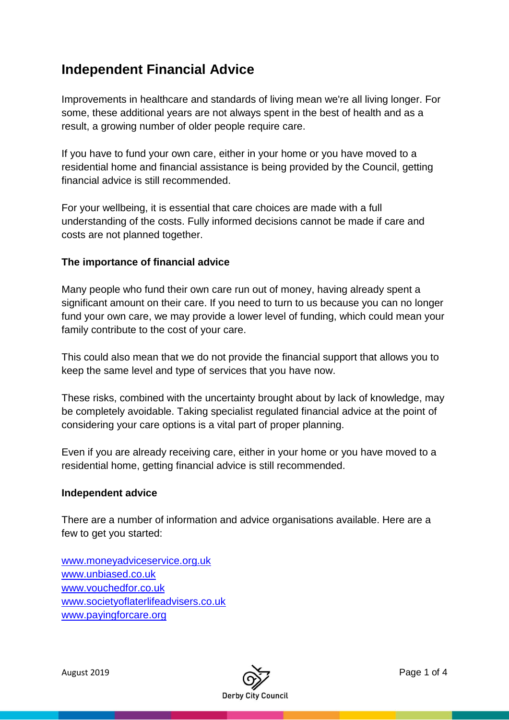# **Independent Financial Advice**

Improvements in healthcare and standards of living mean we're all living longer. For some, these additional years are not always spent in the best of health and as a result, a growing number of older people require care.

If you have to fund your own care, either in your home or you have moved to a residential home and financial assistance is being provided by the Council, getting financial advice is still recommended.

For your wellbeing, it is essential that care choices are made with a full understanding of the costs. Fully informed decisions cannot be made if care and costs are not planned together.

## **The importance of financial advice**

Many people who fund their own care run out of money, having already spent a significant amount on their care. If you need to turn to us because you can no longer fund your own care, we may provide a lower level of funding, which could mean your family contribute to the cost of your care.

This could also mean that we do not provide the financial support that allows you to keep the same level and type of services that you have now.

These risks, combined with the uncertainty brought about by lack of knowledge, may be completely avoidable. Taking specialist regulated financial advice at the point of considering your care options is a vital part of proper planning.

Even if you are already receiving care, either in your home or you have moved to a residential home, getting financial advice is still recommended.

#### **Independent advice**

There are a number of information and advice organisations available. Here are a few to get you started:

[www.moneyadviceservice.org.uk](http://www.moneyadviceservice.org.uk/) [www.unbiased.co.uk](http://www.unbiased.co.uk/) [www.vouchedfor.co.uk](http://www.vouchedfor.co.uk/) [www.societyoflaterlifeadvisers.co.uk](http://www.societyoflaterlifeadvisers.co.uk/) [www.payingforcare.org](http://www.payingforcare.org/)

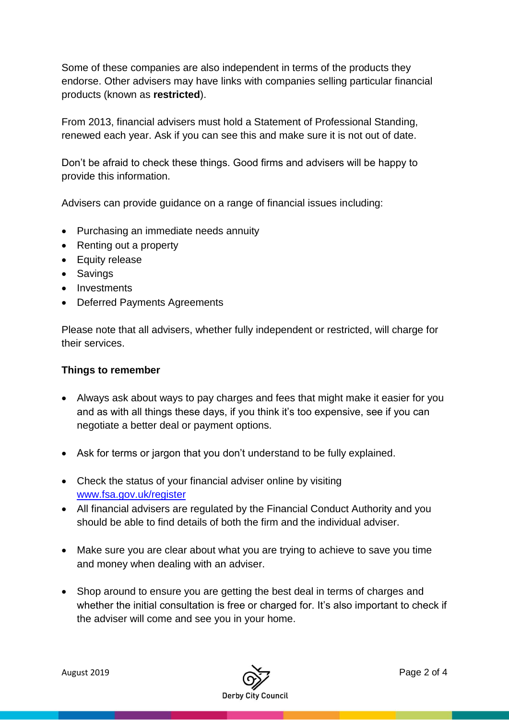Some of these companies are also independent in terms of the products they endorse. Other advisers may have links with companies selling particular financial products (known as **restricted**).

From 2013, financial advisers must hold a Statement of Professional Standing, renewed each year. Ask if you can see this and make sure it is not out of date.

Don't be afraid to check these things. Good firms and advisers will be happy to provide this information.

Advisers can provide guidance on a range of financial issues including:

- Purchasing an immediate needs annuity
- Renting out a property
- Equity release
- Savings
- Investments
- Deferred Payments Agreements

Please note that all advisers, whether fully independent or restricted, will charge for their services.

## **Things to remember**

- Always ask about ways to pay charges and fees that might make it easier for you and as with all things these days, if you think it's too expensive, see if you can negotiate a better deal or payment options.
- Ask for terms or jargon that you don't understand to be fully explained.
- Check the status of your financial adviser online by visiting [www.fsa.gov.uk/register](http://www.fsa.gov.uk/register)
- All financial advisers are regulated by the Financial Conduct Authority and you should be able to find details of both the firm and the individual adviser.
- Make sure you are clear about what you are trying to achieve to save you time and money when dealing with an adviser.
- Shop around to ensure you are getting the best deal in terms of charges and whether the initial consultation is free or charged for. It's also important to check if the adviser will come and see you in your home.

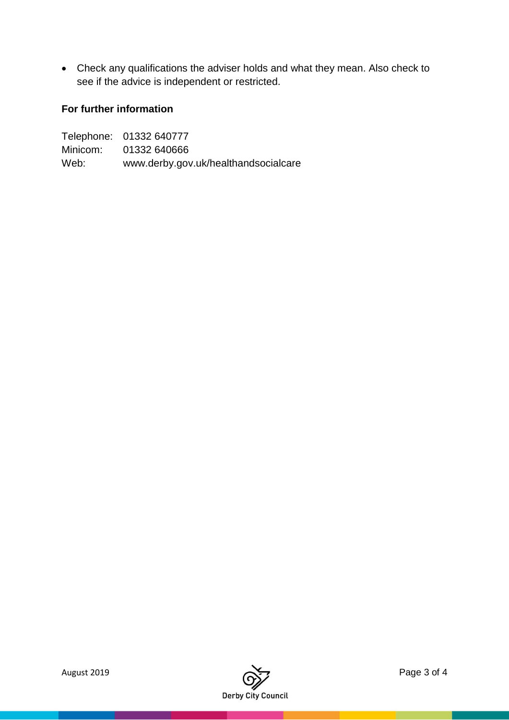Check any qualifications the adviser holds and what they mean. Also check to see if the advice is independent or restricted.

## **For further information**

|          | Telephone: 01332 640777              |
|----------|--------------------------------------|
| Minicom: | 01332 640666                         |
| Web:     | www.derby.gov.uk/healthandsocialcare |